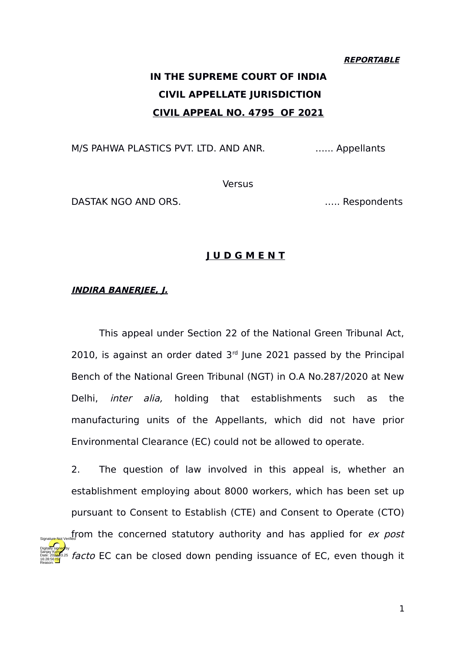### **REPORTABLE**

# **IN THE SUPREME COURT OF INDIA CIVIL APPELLATE JURISDICTION CIVIL APPEAL NO. 4795 OF 2021**

M/S PAHWA PLASTICS PVT. LTD. AND ANR. **Example 10** min. Appellants

**Versus** 

DASTAK NGO AND ORS. The contract of the contract of the contract of the contract of the contract of the contract of the contract of the contract of the contract of the contract of the contract of the contract of the contra

### **J U D G M E N T**

### **INDIRA BANERJEE, J.**

Reason:

This appeal under Section 22 of the National Green Tribunal Act, 2010, is against an order dated  $3<sup>rd</sup>$  June 2021 passed by the Principal Bench of the National Green Tribunal (NGT) in O.A No.287/2020 at New Delhi, inter alia, holding that establishments such as the manufacturing units of the Appellants, which did not have prior Environmental Clearance (EC) could not be allowed to operate.

2. The question of law involved in this appeal is, whether an establishment employing about 8000 workers, which has been set up pursuant to Consent to Establish (CTE) and Consent to Operate (CTO)  $\mathcal{F}_{\text{Signature-Mat Verifif}$  from the concerned statutory authority and has applied for *ex post* facto EC can be closed down pending issuance of EC, even though it Digitally signed by Sanjay Kumar Date: 2022.03.25 16:28:56 IST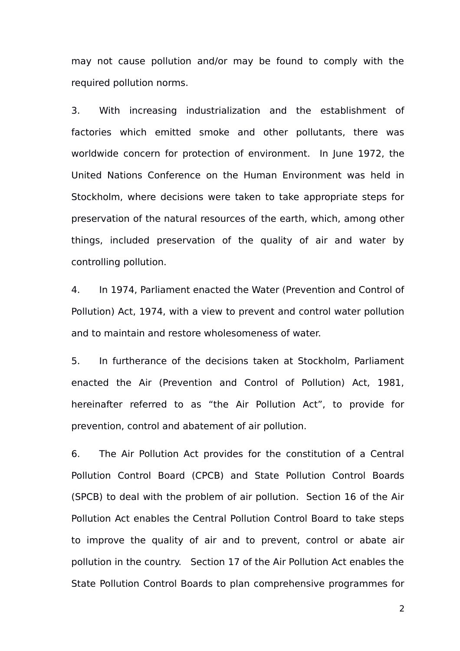may not cause pollution and/or may be found to comply with the required pollution norms.

3. With increasing industrialization and the establishment of factories which emitted smoke and other pollutants, there was worldwide concern for protection of environment. In June 1972, the United Nations Conference on the Human Environment was held in Stockholm, where decisions were taken to take appropriate steps for preservation of the natural resources of the earth, which, among other things, included preservation of the quality of air and water by controlling pollution.

4. In 1974, Parliament enacted the Water (Prevention and Control of Pollution) Act, 1974, with a view to prevent and control water pollution and to maintain and restore wholesomeness of water.

5. In furtherance of the decisions taken at Stockholm, Parliament enacted the Air (Prevention and Control of Pollution) Act, 1981, hereinafter referred to as "the Air Pollution Act", to provide for prevention, control and abatement of air pollution.

6. The Air Pollution Act provides for the constitution of a Central Pollution Control Board (CPCB) and State Pollution Control Boards (SPCB) to deal with the problem of air pollution. Section 16 of the Air Pollution Act enables the Central Pollution Control Board to take steps to improve the quality of air and to prevent, control or abate air pollution in the country. Section 17 of the Air Pollution Act enables the State Pollution Control Boards to plan comprehensive programmes for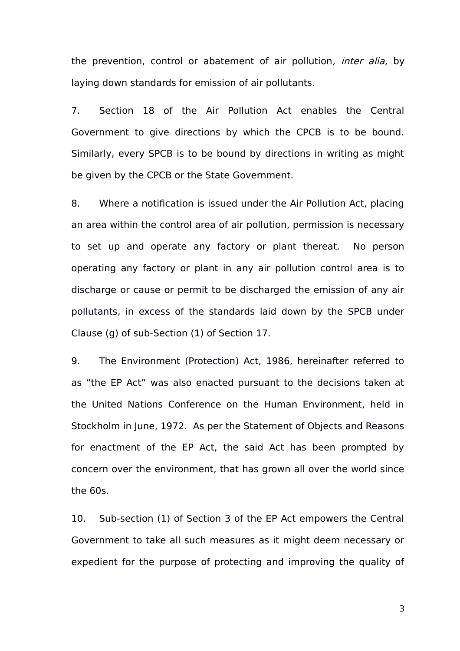the prevention, control or abatement of air pollution, *inter alia*, by laying down standards for emission of air pollutants.

7. Section 18 of the Air Pollution Act enables the Central Government to give directions by which the CPCB is to be bound. Similarly, every SPCB is to be bound by directions in writing as might be given by the CPCB or the State Government.

8. Where a notification is issued under the Air Pollution Act, placing an area within the control area of air pollution, permission is necessary to set up and operate any factory or plant thereat. No person operating any factory or plant in any air pollution control area is to discharge or cause or permit to be discharged the emission of any air pollutants, in excess of the standards laid down by the SPCB under Clause (g) of sub-Section (1) of Section 17.

9. The Environment (Protection) Act, 1986, hereinafter referred to as "the EP Act" was also enacted pursuant to the decisions taken at the United Nations Conference on the Human Environment, held in Stockholm in June, 1972. As per the Statement of Objects and Reasons for enactment of the EP Act, the said Act has been prompted by concern over the environment, that has grown all over the world since the 60s.

10. Sub-section (1) of Section 3 of the EP Act empowers the Central Government to take all such measures as it might deem necessary or expedient for the purpose of protecting and improving the quality of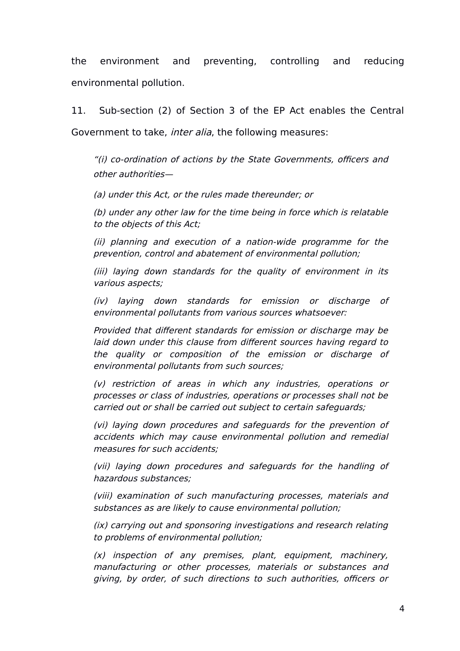the environment and preventing, controlling and reducing environmental pollution.

11. Sub-section (2) of Section 3 of the EP Act enables the Central Government to take, inter alia, the following measures:

"(i) co-ordination of actions by the State Governments, officers and other authorities—

(a) under this Act, or the rules made thereunder; or

(b) under any other law for the time being in force which is relatable to the objects of this Act;

(ii) planning and execution of <sup>a</sup> nation-wide programme for the prevention, control and abatement of environmental pollution;

(iii) laying down standards for the quality of environment in its various aspects;

(iv) laying down standards for emission or discharge of environmental pollutants from various sources whatsoever:

Provided that different standards for emission or discharge may be laid down under this clause from different sources having regard to the quality or composition of the emission or discharge of environmental pollutants from such sources;

(v) restriction of areas in which any industries, operations or processes or class of industries, operations or processes shall not be carried out or shall be carried out subject to certain safeguards;

(vi) laying down procedures and safeguards for the prevention of accidents which may cause environmental pollution and remedial measures for such accidents;

(vii) laying down procedures and safeguards for the handling of hazardous substances;

(viii) examination of such manufacturing processes, materials and substances as are likely to cause environmental pollution;

(ix) carrying out and sponsoring investigations and research relating to problems of environmental pollution;

 $(x)$  inspection of any premises, plant, equipment, machinery, manufacturing or other processes, materials or substances and giving, by order, of such directions to such authorities, officers or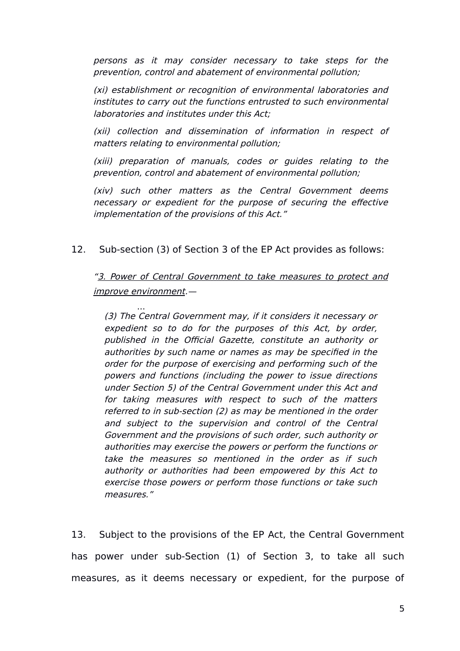persons as it may consider necessary to take steps for the prevention, control and abatement of environmental pollution;

(xi) establishment or recognition of environmental laboratories and institutes to carry out the functions entrusted to such environmental laboratories and institutes under this Act;

(xii) collection and dissemination of information in respect of matters relating to environmental pollution;

(xiii) preparation of manuals, codes or guides relating to the prevention, control and abatement of environmental pollution;

(xiv) such other matters as the Central Government deems necessary or expedient for the purpose of securing the effective implementation of the provisions of this Act."

12. Sub-section (3) of Section 3 of the EP Act provides as follows:

["3. Power of Central Government to take measures to protect and](https://www.scconline.com/Members/BrowseResult.aspx#BS003) [improve environment](https://www.scconline.com/Members/BrowseResult.aspx#BS003).—

... (3) The Central Government may, if it considers it necessary or expedient so to do for the purposes of this Act, by order, published in the Official Gazette, constitute an authority or authorities by such name or names as may be specified in the order for the purpose of exercising and performing such of the powers and functions (including the power to issue directions under Section 5) of the Central Government under this Act and for taking measures with respect to such of the matters referred to in sub-section (2) as may be mentioned in the order and subject to the supervision and control of the Central Government and the provisions of such order, such authority or authorities may exercise the powers or perform the functions or take the measures so mentioned in the order as if such authority or authorities had been empowered by this Act to exercise those powers or perform those functions or take such measures."

13. Subject to the provisions of the EP Act, the Central Government has power under sub-Section (1) of Section 3, to take all such measures, as it deems necessary or expedient, for the purpose of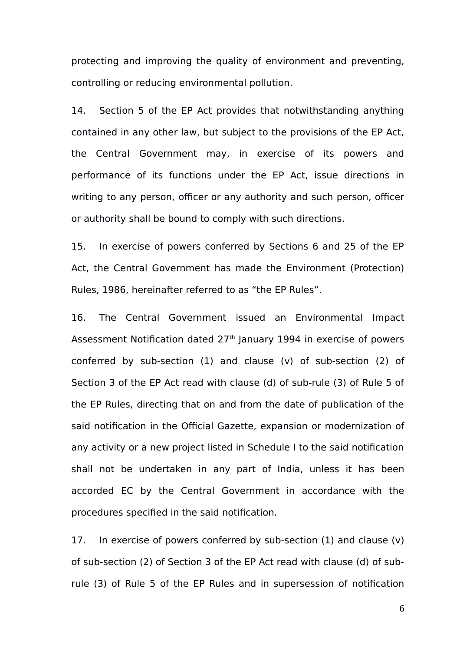protecting and improving the quality of environment and preventing, controlling or reducing environmental pollution.

14. Section 5 of the EP Act provides that notwithstanding anything contained in any other law, but subject to the provisions of the EP Act, the Central Government may, in exercise of its powers and performance of its functions under the EP Act, issue directions in writing to any person, officer or any authority and such person, officer or authority shall be bound to comply with such directions.

15. In exercise of powers conferred by Sections 6 and 25 of the EP Act, the Central Government has made the Environment (Protection) Rules, 1986, hereinafter referred to as "the EP Rules".

16. The Central Government issued an Environmental Impact Assessment Notification dated 27<sup>th</sup> January 1994 in exercise of powers conferred by sub-section (1) and clause (v) of sub-section (2) of Section 3 of the EP Act read with clause (d) of sub-rule (3) of Rule 5 of the EP Rules, directing that on and from the date of publication of the said notification in the Official Gazette, expansion or modernization of any activity or a new project listed in Schedule I to the said notification shall not be undertaken in any part of India, unless it has been accorded EC by the Central Government in accordance with the procedures specified in the said notification.

17. In exercise of powers conferred by sub-section (1) and clause (v) of sub-section (2) of Section 3 of the EP Act read with clause (d) of subrule (3) of Rule 5 of the EP Rules and in supersession of notification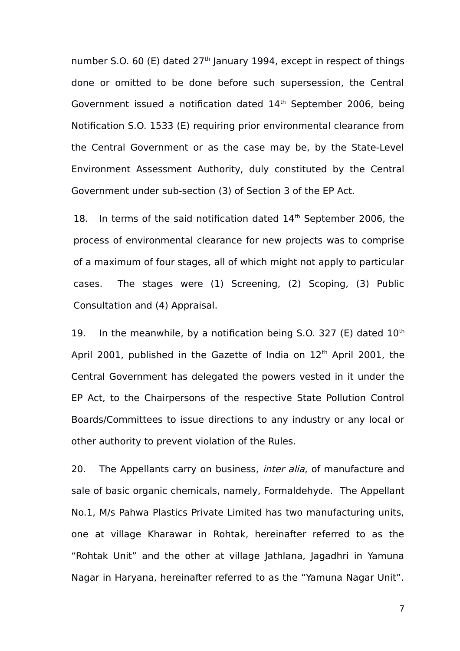number S.O. 60 (E) dated  $27<sup>th</sup>$  January 1994, except in respect of things done or omitted to be done before such supersession, the Central Government issued a notification dated  $14<sup>th</sup>$  September 2006, being Notification S.O. 1533 (E) requiring prior environmental clearance from the Central Government or as the case may be, by the State-Level Environment Assessment Authority, duly constituted by the Central Government under sub-section (3) of Section 3 of the EP Act.

18. In terms of the said notification dated 14<sup>th</sup> September 2006, the process of environmental clearance for new projects was to comprise of a maximum of four stages, all of which might not apply to particular cases. The stages were (1) Screening, (2) Scoping, (3) Public Consultation and (4) Appraisal.

19. In the meanwhile, by a notification being  $S.O. 327 (E)$  dated  $10<sup>th</sup>$ April 2001, published in the Gazette of India on  $12<sup>th</sup>$  April 2001, the Central Government has delegated the powers vested in it under the EP Act, to the Chairpersons of the respective State Pollution Control Boards/Committees to issue directions to any industry or any local or other authority to prevent violation of the Rules.

20. The Appellants carry on business, *inter alia*, of manufacture and sale of basic organic chemicals, namely, Formaldehyde. The Appellant No.1, M/s Pahwa Plastics Private Limited has two manufacturing units, one at village Kharawar in Rohtak, hereinafter referred to as the "Rohtak Unit" and the other at village Jathlana, Jagadhri in Yamuna Nagar in Haryana, hereinafter referred to as the "Yamuna Nagar Unit".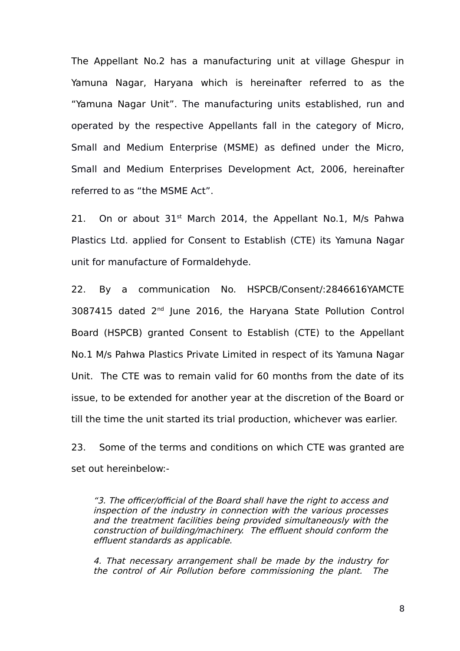The Appellant No.2 has a manufacturing unit at village Ghespur in Yamuna Nagar, Haryana which is hereinafter referred to as the "Yamuna Nagar Unit". The manufacturing units established, run and operated by the respective Appellants fall in the category of Micro, Small and Medium Enterprise (MSME) as defined under the Micro, Small and Medium Enterprises Development Act, 2006, hereinafter referred to as "the MSME Act".

21. On or about  $31<sup>st</sup>$  March 2014, the Appellant No.1, M/s Pahwa Plastics Ltd. applied for Consent to Establish (CTE) its Yamuna Nagar unit for manufacture of Formaldehyde.

22. By a communication No. HSPCB/Consent/:2846616YAMCTE 3087415 dated 2nd June 2016, the Haryana State Pollution Control Board (HSPCB) granted Consent to Establish (CTE) to the Appellant No.1 M/s Pahwa Plastics Private Limited in respect of its Yamuna Nagar Unit. The CTE was to remain valid for 60 months from the date of its issue, to be extended for another year at the discretion of the Board or till the time the unit started its trial production, whichever was earlier.

23. Some of the terms and conditions on which CTE was granted are set out hereinbelow:-

"3. The officer/official of the Board shall have the right to access and inspection of the industry in connection with the various processes and the treatment facilities being provided simultaneously with the construction of building/machinery. The effluent should conform the effluent standards as applicable.

4. That necessary arrangement shall be made by the industry for the control of Air Pollution before commissioning the plant. The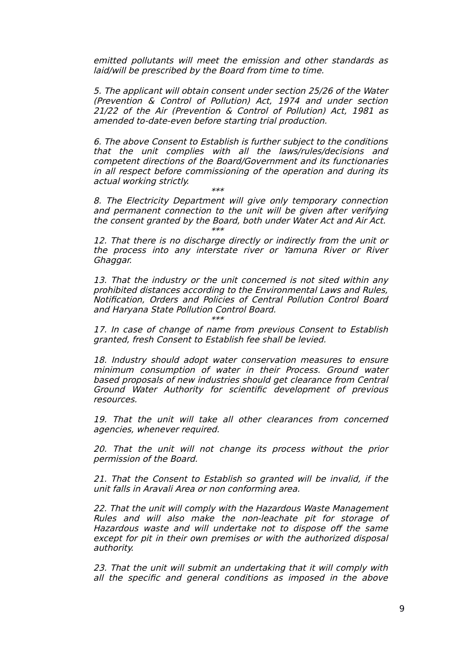emitted pollutants will meet the emission and other standards as laid/will be prescribed by the Board from time to time.

5. The applicant will obtain consent under section 25/26 of the Water (Prevention & Control of Pollution) Act, 1974 and under section 21/22 of the Air (Prevention & Control of Pollution) Act, 1981 as amended to-date-even before starting trial production.

6. The above Consent to Establish is further subject to the conditions that the unit complies with all the laws/rules/decisions and competent directions of the Board/Government and its functionaries in all respect before commissioning of the operation and during its actual working strictly.

\*\*\*

8. The Electricity Department will give only temporary connection and permanent connection to the unit will be given after verifying the consent granted by the Board, both under Water Act and Air Act. \*\*\*

12. That there is no discharge directly or indirectly from the unit or the process into any interstate river or Yamuna River or River Ghaggar.

13. That the industry or the unit concerned is not sited within any prohibited distances according to the Environmental Laws and Rules, Notification, Orders and Policies of Central Pollution Control Board and Haryana State Pollution Control Board. \*\*\*

17. In case of change of name from previous Consent to Establish granted, fresh Consent to Establish fee shall be levied.

18. Industry should adopt water conservation measures to ensure minimum consumption of water in their Process. Ground water based proposals of new industries should get clearance from Central Ground Water Authority for scientific development of previous resources.

19. That the unit will take all other clearances from concerned agencies, whenever required.

20. That the unit will not change its process without the prior permission of the Board.

21. That the Consent to Establish so granted will be invalid, if the unit falls in Aravali Area or non conforming area.

22. That the unit will comply with the Hazardous Waste Management Rules and will also make the non-leachate pit for storage of Hazardous waste and will undertake not to dispose off the same except for pit in their own premises or with the authorized disposal authority.

23. That the unit will submit an undertaking that it will comply with all the specific and general conditions as imposed in the above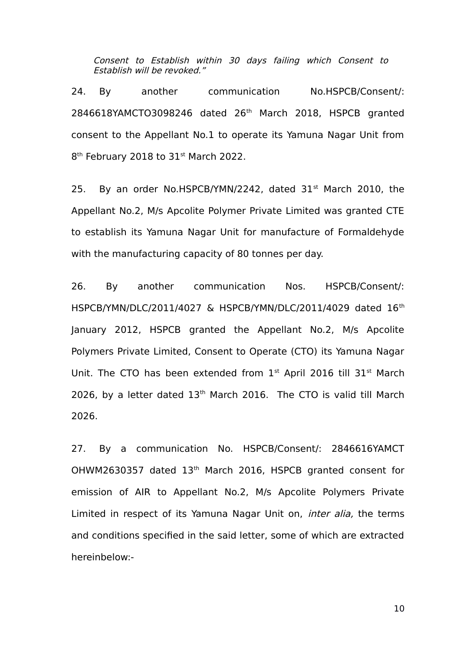Consent to Establish within 30 days failing which Consent to Establish will be revoked."

24. By another communication No.HSPCB/Consent/: 2846618YAMCTO3098246 dated 26th March 2018, HSPCB granted consent to the Appellant No.1 to operate its Yamuna Nagar Unit from 8<sup>th</sup> February 2018 to 31st March 2022.

25. By an order No.HSPCB/YMN/2242, dated  $31<sup>st</sup>$  March 2010, the Appellant No.2, M/s Apcolite Polymer Private Limited was granted CTE to establish its Yamuna Nagar Unit for manufacture of Formaldehyde with the manufacturing capacity of 80 tonnes per day.

26. By another communication Nos. HSPCB/Consent/: HSPCB/YMN/DLC/2011/4027 & HSPCB/YMN/DLC/2011/4029 dated 16th January 2012, HSPCB granted the Appellant No.2, M/s Apcolite Polymers Private Limited, Consent to Operate (CTO) its Yamuna Nagar Unit. The CTO has been extended from  $1<sup>st</sup>$  April 2016 till 31 $<sup>st</sup>$  March</sup> 2026, by a letter dated  $13<sup>th</sup>$  March 2016. The CTO is valid till March 2026.

27. By a communication No. HSPCB/Consent/: 2846616YAMCT OHWM2630357 dated 13<sup>th</sup> March 2016, HSPCB granted consent for emission of AIR to Appellant No.2, M/s Apcolite Polymers Private Limited in respect of its Yamuna Nagar Unit on, *inter alia*, the terms and conditions specified in the said letter, some of which are extracted hereinbelow:-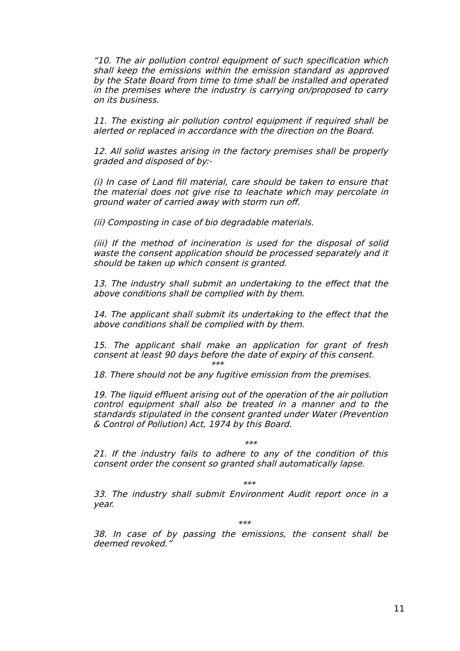"10. The air pollution control equipment of such specification which shall keep the emissions within the emission standard as approved by the State Board from time to time shall be installed and operated in the premises where the industry is carrying on/proposed to carry on its business.

11. The existing air pollution control equipment if required shall be alerted or replaced in accordance with the direction on the Board.

12. All solid wastes arising in the factory premises shall be properly graded and disposed of by:-

(i) In case of Land fill material, care should be taken to ensure that the material does not give rise to leachate which may percolate in ground water of carried away with storm run off.

(ii) Composting in case of bio degradable materials.

(iii) If the method of incineration is used for the disposal of solid waste the consent application should be processed separately and it should be taken up which consent is granted.

13. The industry shall submit an undertaking to the effect that the above conditions shall be complied with by them.

14. The applicant shall submit its undertaking to the effect that the above conditions shall be complied with by them.

15. The applicant shall make an application for grant of fresh consent at least 90 days before the date of expiry of this consent.  $***$ 

18. There should not be any fugitive emission from the premises.

19. The liquid effluent arising out of the operation of the air pollution control equipment shall also be treated in a manner and to the standards stipulated in the consent granted under Water (Prevention & Control of Pollution) Act, 1974 by this Board.

#### \*\*\*

21. If the industry fails to adhere to any of the condition of this consent order the consent so granted shall automatically lapse.

#### \*\*\*

33. The industry shall submit Environment Audit report once in a year.

\*\*\*

38. In case of by passing the emissions, the consent shall be deemed revoked."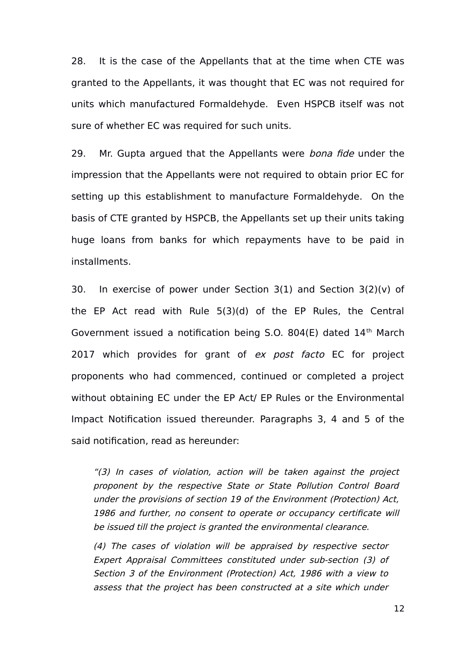28. It is the case of the Appellants that at the time when CTE was granted to the Appellants, it was thought that EC was not required for units which manufactured Formaldehyde. Even HSPCB itself was not sure of whether EC was required for such units.

29. Mr. Gupta argued that the Appellants were bona fide under the impression that the Appellants were not required to obtain prior EC for setting up this establishment to manufacture Formaldehyde. On the basis of CTE granted by HSPCB, the Appellants set up their units taking huge loans from banks for which repayments have to be paid in installments.

30. In exercise of power under Section 3(1) and Section 3(2)(v) of the EP Act read with Rule 5(3)(d) of the EP Rules, the Central Government issued a notification being S.O. 804(E) dated  $14<sup>th</sup>$  March 2017 which provides for grant of ex post facto EC for project proponents who had commenced, continued or completed a project without obtaining EC under the EP Act/ EP Rules or the Environmental Impact Notification issued thereunder. Paragraphs 3, 4 and 5 of the said notification, read as hereunder:

"(3) In cases of violation, action will be taken against the project proponent by the respective State or State Pollution Control Board under the provisions of section 19 of the Environment (Protection) Act, 1986 and further, no consent to operate or occupancy certificate will be issued till the project is granted the environmental clearance.

(4) The cases of violation will be appraised by respective sector Expert Appraisal Committees constituted under sub-section (3) of Section 3 of the Environment (Protection) Act, 1986 with a view to assess that the project has been constructed at a site which under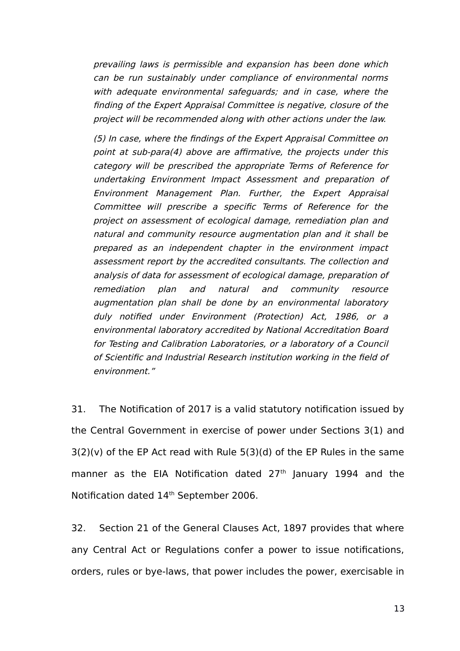prevailing laws is permissible and expansion has been done which can be run sustainably under compliance of environmental norms with adequate environmental safequards; and in case, where the finding of the Expert Appraisal Committee is negative, closure of the project will be recommended along with other actions under the law.

(5) In case, where the findings of the Expert Appraisal Committee on point at sub-para(4) above are affirmative, the projects under this category will be prescribed the appropriate Terms of Reference for undertaking Environment Impact Assessment and preparation of Environment Management Plan. Further, the Expert Appraisal Committee will prescribe <sup>a</sup> specific Terms of Reference for the project on assessment of ecological damage, remediation plan and natural and community resource augmentation plan and it shall be prepared as an independent chapter in the environment impact assessment report by the accredited consultants. The collection and analysis of data for assessment of ecological damage, preparation of remediation plan and natural and community resource augmentation plan shall be done by an environmental laboratory duly notified under Environment (Protection) Act, 1986, or <sup>a</sup> environmental laboratory accredited by National Accreditation Board for Testing and Calibration Laboratories, or a laboratory of a Council of Scientific and Industrial Research institution working in the field of environment."

31. The Notification of 2017 is a valid statutory notification issued by the Central Government in exercise of power under Sections 3(1) and  $3(2)(v)$  of the EP Act read with Rule  $5(3)(d)$  of the EP Rules in the same manner as the EIA Notification dated  $27<sup>th</sup>$  January 1994 and the Notification dated 14<sup>th</sup> September 2006.

32. Section 21 of the General Clauses Act, 1897 provides that where any Central Act or Regulations confer a power to issue notifications, orders, rules or bye-laws, that power includes the power, exercisable in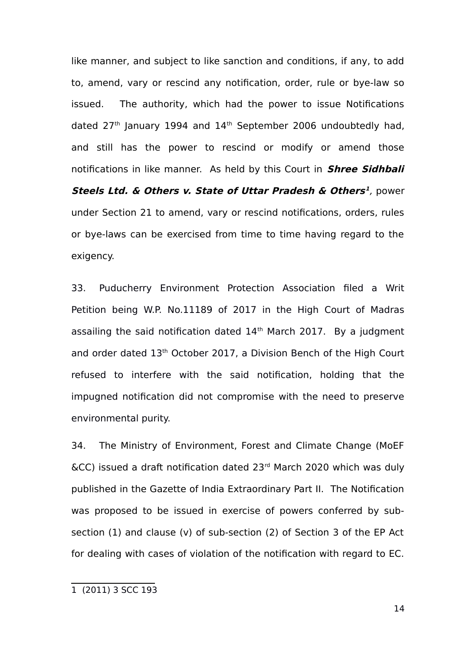like manner, and subject to like sanction and conditions, if any, to add to, amend, vary or rescind any notification, order, rule or bye-law so issued. The authority, which had the power to issue Notifications dated  $27<sup>th</sup>$  January 1994 and  $14<sup>th</sup>$  September 2006 undoubtedly had, and still has the power to rescind or modify or amend those notifications in like manner. As held by this Court in **Shree Sidhbali Steels Ltd. & Others v. State of Uttar Pradesh & Others [1](#page-13-0)** , power under Section 21 to amend, vary or rescind notifications, orders, rules or bye-laws can be exercised from time to time having regard to the exigency.

33. Puducherry Environment Protection Association filed a Writ Petition being W.P. No.11189 of 2017 in the High Court of Madras assailing the said notification dated  $14<sup>th</sup>$  March 2017. By a judgment and order dated 13<sup>th</sup> October 2017, a Division Bench of the High Court refused to interfere with the said notification, holding that the impugned notification did not compromise with the need to preserve environmental purity.

34. The Ministry of Environment, Forest and Climate Change (MoEF  $\&CC$ ) issued a draft notification dated 23 $<sup>rd</sup>$  March 2020 which was duly</sup> published in the Gazette of India Extraordinary Part II. The Notification was proposed to be issued in exercise of powers conferred by subsection (1) and clause (v) of sub-section (2) of Section 3 of the EP Act for dealing with cases of violation of the notification with regard to EC.

<span id="page-13-0"></span><sup>1 (2011) 3</sup> SCC 193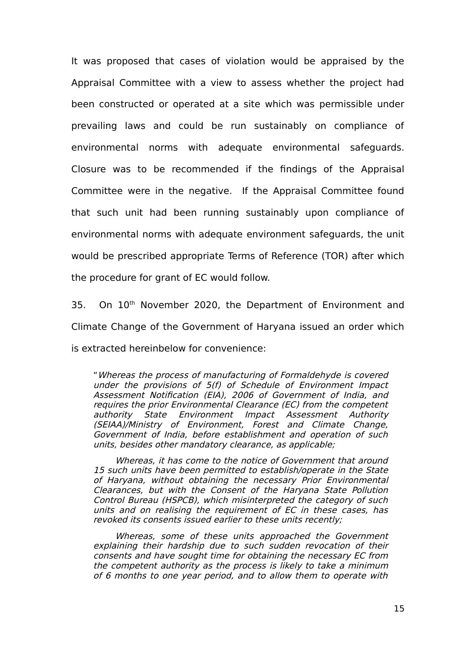It was proposed that cases of violation would be appraised by the Appraisal Committee with a view to assess whether the project had been constructed or operated at a site which was permissible under prevailing laws and could be run sustainably on compliance of environmental norms with adequate environmental safeguards. Closure was to be recommended if the findings of the Appraisal Committee were in the negative. If the Appraisal Committee found that such unit had been running sustainably upon compliance of environmental norms with adequate environment safeguards, the unit would be prescribed appropriate Terms of Reference (TOR) after which the procedure for grant of EC would follow.

35. On 10<sup>th</sup> November 2020, the Department of Environment and Climate Change of the Government of Haryana issued an order which is extracted hereinbelow for convenience:

"Whereas the process of manufacturing of Formaldehyde is covered under the provisions of 5(f) of Schedule of Environment Impact Assessment Notification (EIA), 2006 of Government of India, and requires the prior Environmental Clearance (EC) from the competent authority State Environment Impact Assessment Authority (SEIAA)/Ministry of Environment, Forest and Climate Change, Government of India, before establishment and operation of such units, besides other mandatory clearance, as applicable;

Whereas, it has come to the notice of Government that around 15 such units have been permitted to establish/operate in the State of Haryana, without obtaining the necessary Prior Environmental Clearances, but with the Consent of the Haryana State Pollution Control Bureau (HSPCB), which misinterpreted the category of such units and on realising the requirement of EC in these cases, has revoked its consents issued earlier to these units recently;

Whereas, some of these units approached the Government explaining their hardship due to such sudden revocation of their consents and have sought time for obtaining the necessary EC from the competent authority as the process is likely to take a minimum of 6 months to one year period, and to allow them to operate with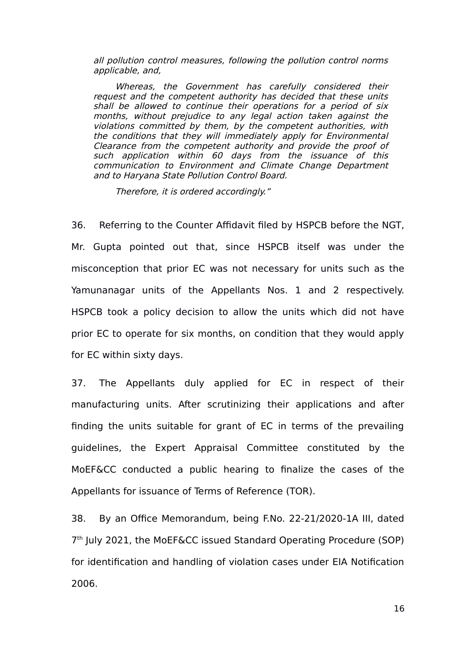all pollution control measures, following the pollution control norms applicable, and,

Whereas, the Government has carefully considered their request and the competent authority has decided that these units shall be allowed to continue their operations for a period of six months, without prejudice to any legal action taken against the violations committed by them, by the competent authorities, with the conditions that they will immediately apply for Environmental Clearance from the competent authority and provide the proof of such application within 60 days from the issuance of this communication to Environment and Climate Change Department and to Haryana State Pollution Control Board.

Therefore, it is ordered accordingly."

36. Referring to the Counter Affidavit filed by HSPCB before the NGT, Mr. Gupta pointed out that, since HSPCB itself was under the misconception that prior EC was not necessary for units such as the Yamunanagar units of the Appellants Nos. 1 and 2 respectively. HSPCB took a policy decision to allow the units which did not have prior EC to operate for six months, on condition that they would apply for EC within sixty days.

37. The Appellants duly applied for EC in respect of their manufacturing units. After scrutinizing their applications and after finding the units suitable for grant of EC in terms of the prevailing guidelines, the Expert Appraisal Committee constituted by the MoEF&CC conducted a public hearing to finalize the cases of the Appellants for issuance of Terms of Reference (TOR).

38. By an Office Memorandum, being F.No. 22-21/2020-1A III, dated 7 th July 2021, the MoEF&CC issued Standard Operating Procedure (SOP) for identification and handling of violation cases under EIA Notification 2006.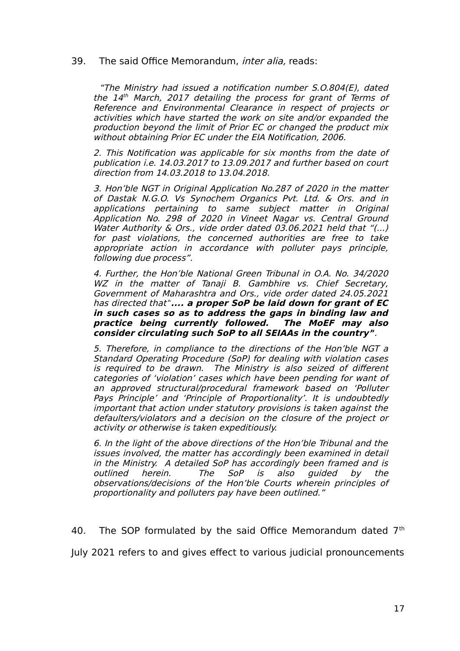39. The said Office Memorandum, *inter alia*, reads:

"The Ministry had issued a notification number S.O.804(E), dated the 14 th March, 2017 detailing the process for grant of Terms of Reference and Environmental Clearance in respect of projects or activities which have started the work on site and/or expanded the production beyond the limit of Prior EC or changed the product mix without obtaining Prior EC under the EIA Notification, 2006.

2. This Notification was applicable for six months from the date of publication i.e. 14.03.2017 to 13.09.2017 and further based on court direction from 14.03.2018 to 13.04.2018.

3. Hon'ble NGT in Original Application No.287 of 2020 in the matter of Dastak N.G.O. Vs Synochem Organics Pvt. Ltd. & Ors. and in applications pertaining to same subject matter in Original Application No. 298 of 2020 in Vineet Nagar vs. Central Ground Water Authority & Ors., vide order dated 03.06.2021 held that "(...) for past violations, the concerned authorities are free to take appropriate action in accordance with polluter pays principle, following due process".

4. Further, the Hon'ble National Green Tribunal in O.A. No. 34/2020 WZ in the matter of Tanaji B. Gambhire vs. Chief Secretary, Government of Maharashtra and Ors., vide order dated 24.05.2021 has directed that"**.... a proper SoP be laid down for grant of EC in such cases so as to address the gaps in binding law and practice being currently followed. The MoEF may also consider circulating such SoP to all SEIAAs in the country"**.

5. Therefore, in compliance to the directions of the Hon'ble NGT a Standard Operating Procedure (SoP) for dealing with violation cases is required to be drawn. The Ministry is also seized of different categories of 'violation' cases which have been pending for want of an approved structural/procedural framework based on 'Polluter Pays Principle' and 'Principle of Proportionality'. It is undoubtedly important that action under statutory provisions is taken against the defaulters/violators and a decision on the closure of the project or activity or otherwise is taken expeditiously.

6. In the light of the above directions of the Hon'ble Tribunal and the issues involved, the matter has accordingly been examined in detail in the Ministry. A detailed SoP has accordingly been framed and is outlined herein. The SoP is also guided by the observations/decisions of the Hon'ble Courts wherein principles of proportionality and polluters pay have been outlined."

40. The SOP formulated by the said Office Memorandum dated  $7<sup>th</sup>$ 

July 2021 refers to and gives effect to various judicial pronouncements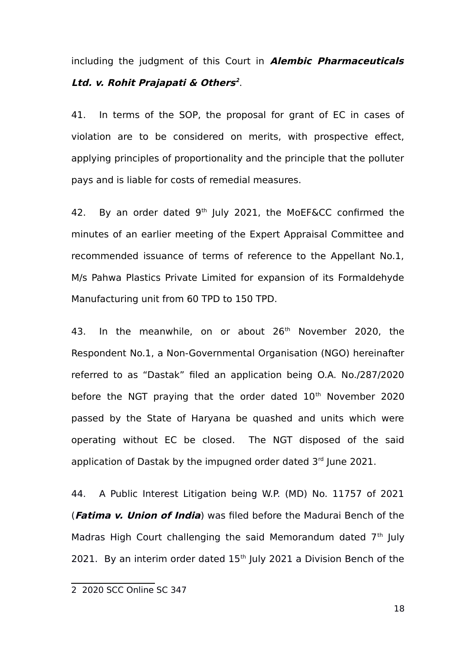including the judgment of this Court in **Alembic Pharmaceuticals Ltd. v. Rohit Prajapati & Others [2](#page-17-0)** .

41. In terms of the SOP, the proposal for grant of EC in cases of violation are to be considered on merits, with prospective effect, applying principles of proportionality and the principle that the polluter pays and is liable for costs of remedial measures.

42. By an order dated  $9<sup>th</sup>$  July 2021, the MoEF&CC confirmed the minutes of an earlier meeting of the Expert Appraisal Committee and recommended issuance of terms of reference to the Appellant No.1, M/s Pahwa Plastics Private Limited for expansion of its Formaldehyde Manufacturing unit from 60 TPD to 150 TPD.

43. In the meanwhile, on or about 26<sup>th</sup> November 2020, the Respondent No.1, a Non-Governmental Organisation (NGO) hereinafter referred to as "Dastak" filed an application being O.A. No./287/2020 before the NGT praying that the order dated  $10<sup>th</sup>$  November 2020 passed by the State of Haryana be quashed and units which were operating without EC be closed. The NGT disposed of the said application of Dastak by the impugned order dated  $3<sup>rd</sup>$  lune 2021.

44. A Public Interest Litigation being W.P. (MD) No. 11757 of 2021 (**Fatima v. Union of India**) was filed before the Madurai Bench of the Madras High Court challenging the said Memorandum dated  $7<sup>th</sup>$  July 2021. By an interim order dated  $15<sup>th</sup>$  July 2021 a Division Bench of the

<span id="page-17-0"></span><sup>2 2020</sup> SCC Online SC 347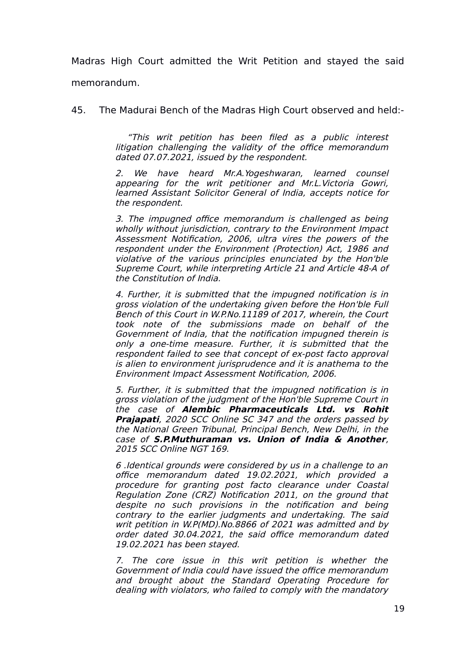Madras High Court admitted the Writ Petition and stayed the said memorandum.

45. The Madurai Bench of the Madras High Court observed and held:-

"This writ petition has been filed as <sup>a</sup> public interest litigation challenging the validity of the office memorandum dated 07.07.2021, issued by the respondent.

2. We have heard Mr.A.Yogeshwaran, learned counsel appearing for the writ petitioner and Mr.L.Victoria Gowri, learned Assistant Solicitor General of India, accepts notice for the respondent.

3. The impugned office memorandum is challenged as being wholly without jurisdiction, contrary to the Environment Impact Assessment Notification, 2006, ultra vires the powers of the respondent under the Environment (Protection) Act, 1986 and violative of the various principles enunciated by the Hon'ble Supreme Court, while interpreting Article 21 and Article 48-A of the Constitution of India.

4. Further, it is submitted that the impugned notification is in gross violation of the undertaking given before the Hon'ble Full Bench of this Court in W.P.No.11189 of 2017, wherein, the Court took note of the submissions made on behalf of the Government of India, that the notification impugned therein is only <sup>a</sup> one-time measure. Further, it is submitted that the respondent failed to see that concept of ex-post facto approval is alien to environment jurisprudence and it is anathema to the Environment Impact Assessment Notification, 2006.

5. Further, it is submitted that the impugned notification is in gross violation of the judgment of the Hon'ble Supreme Court in the case of **Alembic Pharmaceuticals Ltd. vs Rohit Prajapati**, 2020 SCC Online SC 347 and the orders passed by the National Green Tribunal, Principal Bench, New Delhi, in the case of **S.P.Muthuraman vs. Union of India & Another**, 2015 SCC Online NGT 169.

6 .Identical grounds were considered by us in a challenge to an office memorandum dated 19.02.2021, which provided <sup>a</sup> procedure for granting post facto clearance under Coastal Regulation Zone (CRZ) Notification 2011, on the ground that despite no such provisions in the notification and being contrary to the earlier judgments and undertaking. The said writ petition in W.P(MD).No.8866 of 2021 was admitted and by order dated 30.04.2021, the said office memorandum dated 19.02.2021 has been stayed.

7. The core issue in this writ petition is whether the Government of India could have issued the office memorandum and brought about the Standard Operating Procedure for dealing with violators, who failed to comply with the mandatory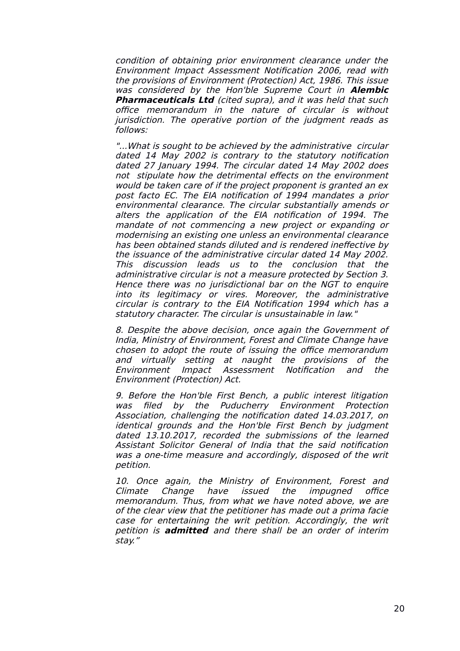condition of obtaining prior environment clearance under the Environment Impact Assessment Notification 2006, read with the provisions of Environment (Protection) Act, 1986. This issue was considered by the Hon'ble Supreme Court in **Alembic Pharmaceuticals Ltd** (cited supra), and it was held that such office memorandum in the nature of circular is without jurisdiction. The operative portion of the judgment reads as follows:

"...What is sought to be achieved by the administrative circular dated 14 May 2002 is contrary to the statutory notification dated 27 January 1994. The circular dated 14 May 2002 does not stipulate how the detrimental effects on the environment would be taken care of if the project proponent is granted an ex post facto EC. The EIA notification of 1994 mandates a prior environmental clearance. The circular substantially amends or alters the application of the EIA notification of 1994. The mandate of not commencing a new project or expanding or modernising an existing one unless an environmental clearance has been obtained stands diluted and is rendered ineffective by the issuance of the administrative circular dated 14 May 2002. This discussion leads us to the conclusion that the administrative circular is not a measure protected by Section 3. Hence there was no jurisdictional bar on the NGT to enquire into its legitimacy or vires. Moreover, the administrative circular is contrary to the EIA Notification 1994 which has a statutory character. The circular is unsustainable in law."

8. Despite the above decision, once again the Government of India, Ministry of Environment, Forest and Climate Change have chosen to adopt the route of issuing the office memorandum and virtually setting at naught the provisions of the Environment Impact Assessment Notification and the Environment (Protection) Act.

9. Before the Hon'ble First Bench, a public interest litigation was filed by the Puducherry Environment Protection Association, challenging the notification dated 14.03.2017, on identical grounds and the Hon'ble First Bench by judgment dated 13.10.2017, recorded the submissions of the learned Assistant Solicitor General of India that the said notification was a one-time measure and accordingly, disposed of the writ petition.

10. Once again, the Ministry of Environment, Forest and Climate Change have issued the impugned office memorandum. Thus, from what we have noted above, we are of the clear view that the petitioner has made out a prima facie case for entertaining the writ petition. Accordingly, the writ petition is **admitted** and there shall be an order of interim stay."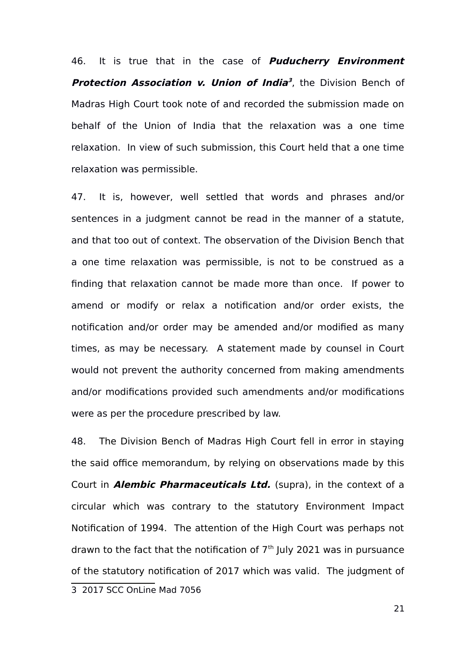46. It is true that in the case of **Puducherry Environment Protection Association v. Union of India [3](#page-20-0)** , the Division Bench of Madras High Court took note of and recorded the submission made on behalf of the Union of India that the relaxation was a one time relaxation. In view of such submission, this Court held that a one time relaxation was permissible.

47. It is, however, well settled that words and phrases and/or sentences in a judgment cannot be read in the manner of a statute, and that too out of context. The observation of the Division Bench that a one time relaxation was permissible, is not to be construed as a finding that relaxation cannot be made more than once. If power to amend or modify or relax a notification and/or order exists, the notification and/or order may be amended and/or modified as many times, as may be necessary. A statement made by counsel in Court would not prevent the authority concerned from making amendments and/or modifications provided such amendments and/or modifications were as per the procedure prescribed by law.

<span id="page-20-0"></span>48. The Division Bench of Madras High Court fell in error in staying the said office memorandum, by relying on observations made by this Court in **Alembic Pharmaceuticals Ltd.** (supra), in the context of a circular which was contrary to the statutory Environment Impact Notification of 1994. The attention of the High Court was perhaps not drawn to the fact that the notification of  $7<sup>th</sup>$  July 2021 was in pursuance of the statutory notification of 2017 which was valid. The judgment of 3 2017 SCC OnLine Mad 7056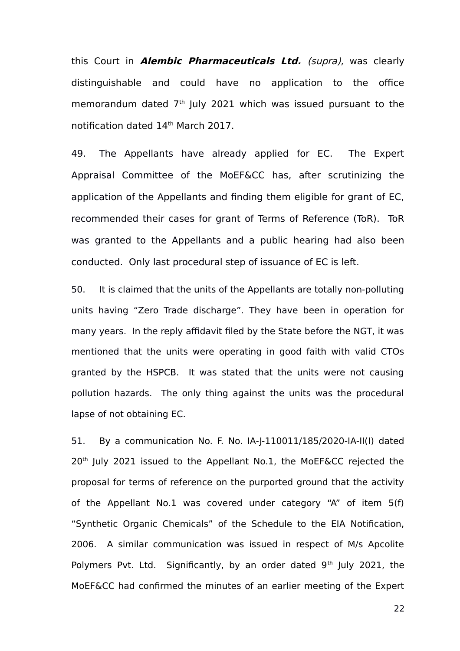this Court in **Alembic Pharmaceuticals Ltd.** (supra), was clearly distinguishable and could have no application to the office memorandum dated  $7<sup>th</sup>$  July 2021 which was issued pursuant to the notification dated 14<sup>th</sup> March 2017.

49. The Appellants have already applied for EC. The Expert Appraisal Committee of the MoEF&CC has, after scrutinizing the application of the Appellants and finding them eligible for grant of EC, recommended their cases for grant of Terms of Reference (ToR). ToR was granted to the Appellants and a public hearing had also been conducted. Only last procedural step of issuance of EC is left.

50. It is claimed that the units of the Appellants are totally non-polluting units having "Zero Trade discharge". They have been in operation for many years. In the reply affidavit filed by the State before the NGT, it was mentioned that the units were operating in good faith with valid CTOs granted by the HSPCB. It was stated that the units were not causing pollution hazards. The only thing against the units was the procedural lapse of not obtaining EC.

51. By a communication No. F. No. IA-J-110011/185/2020-IA-II(I) dated 20<sup>th</sup> July 2021 issued to the Appellant No.1, the MoEF&CC rejected the proposal for terms of reference on the purported ground that the activity of the Appellant No.1 was covered under category "A" of item 5(f) "Synthetic Organic Chemicals" of the Schedule to the EIA Notification, 2006. A similar communication was issued in respect of M/s Apcolite Polymers Pvt. Ltd. Significantly, by an order dated  $9<sup>th</sup>$  July 2021, the MoEF&CC had confirmed the minutes of an earlier meeting of the Expert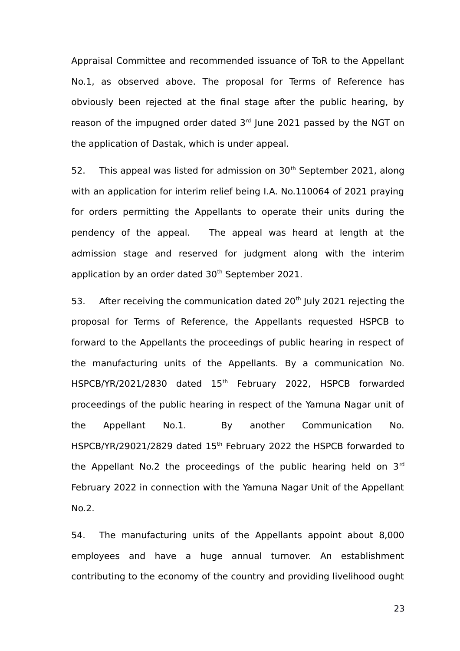Appraisal Committee and recommended issuance of ToR to the Appellant No.1, as observed above. The proposal for Terms of Reference has obviously been rejected at the final stage after the public hearing, by reason of the impugned order dated 3rd June 2021 passed by the NGT on the application of Dastak, which is under appeal.

52. This appeal was listed for admission on  $30<sup>th</sup>$  September 2021, along with an application for interim relief being I.A. No.110064 of 2021 praying for orders permitting the Appellants to operate their units during the pendency of the appeal. The appeal was heard at length at the admission stage and reserved for judgment along with the interim application by an order dated  $30<sup>th</sup>$  September 2021.

53. After receiving the communication dated  $20<sup>th</sup>$  July 2021 rejecting the proposal for Terms of Reference, the Appellants requested HSPCB to forward to the Appellants the proceedings of public hearing in respect of the manufacturing units of the Appellants. By a communication No. HSPCB/YR/2021/2830 dated 15th February 2022, HSPCB forwarded proceedings of the public hearing in respect of the Yamuna Nagar unit of the Appellant No.1. By another Communication No. HSPCB/YR/29021/2829 dated 15<sup>th</sup> February 2022 the HSPCB forwarded to the Appellant No.2 the proceedings of the public hearing held on  $3<sup>rd</sup>$ February 2022 in connection with the Yamuna Nagar Unit of the Appellant No.2.

54. The manufacturing units of the Appellants appoint about 8,000 employees and have a huge annual turnover. An establishment contributing to the economy of the country and providing livelihood ought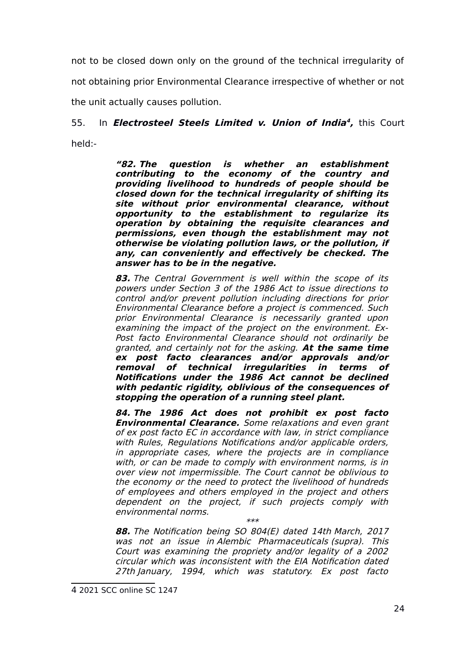not to be closed down only on the ground of the technical irregularity of not obtaining prior Environmental Clearance irrespective of whether or not the unit actually causes pollution.

# 55. In **Electrosteel Steels Limited v. Union of India [4](#page-23-0) ,** this Court held:-

**"82. The question is whether an establishment contributing to the economy of the country and providing livelihood to hundreds of people should be closed down for the technical irregularity of shifting its site without prior environmental clearance, without opportunity to the establishment to regularize its operation by obtaining the requisite clearances and permissions, even though the establishment may not otherwise be violating pollution laws, or the pollution, if any, can conveniently and effectively be checked. The answer has to be in the negative.**

**83.** The Central Government is well within the scope of its powers under Section 3 of the 1986 Act to issue directions to control and/or prevent pollution including directions for prior Environmental Clearance before a project is commenced. Such prior Environmental Clearance is necessarily granted upon examining the impact of the project on the environment. Ex-Post facto Environmental Clearance should not ordinarily be granted, and certainly not for the asking. **At the same time ex post facto clearances and/or approvals and/or removal of technical irregularities in terms of Notifications under the 1986 Act cannot be declined with pedantic rigidity, oblivious of the consequences of stopping the operation of a running steel plant.**

**84. The 1986 Act does not prohibit ex post facto Environmental Clearance.** Some relaxations and even grant of ex post facto EC in accordance with law, in strict compliance with Rules, Regulations Notifications and/or applicable orders, in appropriate cases, where the projects are in compliance with, or can be made to comply with environment norms, is in over view not impermissible. The Court cannot be oblivious to the economy or the need to protect the livelihood of hundreds of employees and others employed in the project and others dependent on the project, if such projects comply with environmental norms. \*\*\*

**88.** The Notification being SO 804(E) dated 14th March, 2017 was not an issue in Alembic Pharmaceuticals (supra). This Court was examining the propriety and/or legality of a 2002 circular which was inconsistent with the EIA Notification dated 27th January, 1994, which was statutory. Ex post facto

<span id="page-23-0"></span><sup>4</sup> 2021 SCC online SC 1247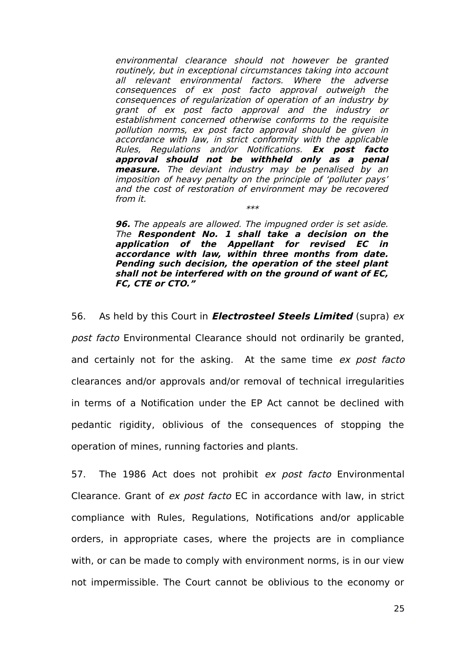environmental clearance should not however be granted routinely, but in exceptional circumstances taking into account all relevant environmental factors. Where the adverse consequences of ex post facto approval outweigh the consequences of regularization of operation of an industry by grant of ex post facto approval and the industry or establishment concerned otherwise conforms to the requisite pollution norms, ex post facto approval should be given in accordance with law, in strict conformity with the applicable Rules, Regulations and/or Notifications. **Ex post facto approval should not be withheld only as <sup>a</sup> penal measure.** The deviant industry may be penalised by an imposition of heavy penalty on the principle of 'polluter pays' and the cost of restoration of environment may be recovered from it. \*\*\*

**96.** The appeals are allowed. The impugned order is set aside. The **Respondent No. 1 shall take <sup>a</sup> decision on the application of the Appellant for revised EC in accordance with law, within three months from date. Pending such decision, the operation of the steel plant shall not be interfered with on the ground of want of EC, FC, CTE or CTO."**

56. As held by this Court in **Electrosteel Steels Limited** (supra) ex post facto Environmental Clearance should not ordinarily be granted, and certainly not for the asking. At the same time ex post facto clearances and/or approvals and/or removal of technical irregularities in terms of a Notification under the EP Act cannot be declined with pedantic rigidity, oblivious of the consequences of stopping the operation of mines, running factories and plants.

57. The 1986 Act does not prohibit ex post facto Environmental Clearance. Grant of ex post facto EC in accordance with law, in strict compliance with Rules, Regulations, Notifications and/or applicable orders, in appropriate cases, where the projects are in compliance with, or can be made to comply with environment norms, is in our view not impermissible. The Court cannot be oblivious to the economy or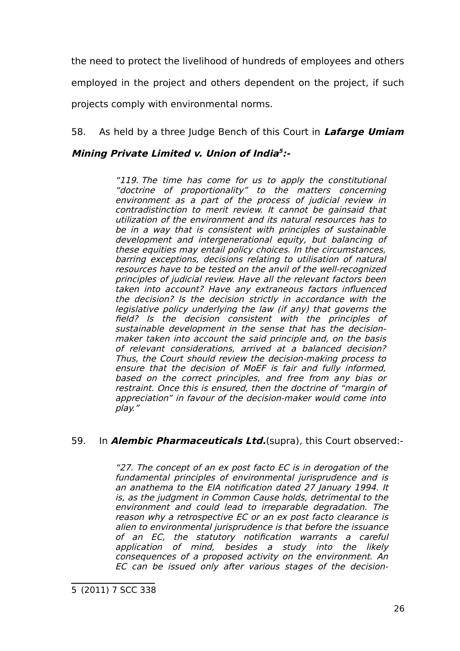the need to protect the livelihood of hundreds of employees and others employed in the project and others dependent on the project, if such

projects comply with environmental norms.

# 58. As held by a three Judge Bench of this Court in **Lafarge Umiam**

## **Mining Private Limited v. Union of India [5](#page-25-0) :-**

"119. The time has come for us to apply the constitutional "doctrine of proportionality" to the matters concerning environment as <sup>a</sup> part of the process of judicial review in contradistinction to merit review. It cannot be gainsaid that utilization of the environment and its natural resources has to be in a way that is consistent with principles of sustainable development and intergenerational equity, but balancing of these equities may entail policy choices. In the circumstances, barring exceptions, decisions relating to utilisation of natural resources have to be tested on the anvil of the well-recognized principles of judicial review. Have all the relevant factors been taken into account? Have any extraneous factors influenced the decision? Is the decision strictly in accordance with the legislative policy underlying the law (if any) that governs the field? Is the decision consistent with the principles of sustainable development in the sense that has the decisionmaker taken into account the said principle and, on the basis of relevant considerations, arrived at <sup>a</sup> balanced decision? Thus, the Court should review the decision-making process to ensure that the decision of MoEF is fair and fully informed, based on the correct principles, and free from any bias or restraint. Once this is ensured, then the doctrine of "margin of appreciation" in favour of the decision-maker would come into play."

## 59. In **Alembic Pharmaceuticals Ltd.**(supra), this Court observed:-

"27. The concept of an ex post facto EC is in derogation of the fundamental principles of environmental jurisprudence and is an anathema to the EIA notification dated 27 January 1994. It is, as the judgment in Common Cause holds, detrimental to the environment and could lead to irreparable degradation. The reason why a retrospective EC or an ex post facto clearance is alien to environmental jurisprudence is that before the issuance of an EC, the statutory notification warrants <sup>a</sup> careful application of mind, besides <sup>a</sup> study into the likely consequences of a proposed activity on the environment. An EC can be issued only after various stages of the decision-

<span id="page-25-0"></span><sup>5</sup> (2011) 7 SCC 338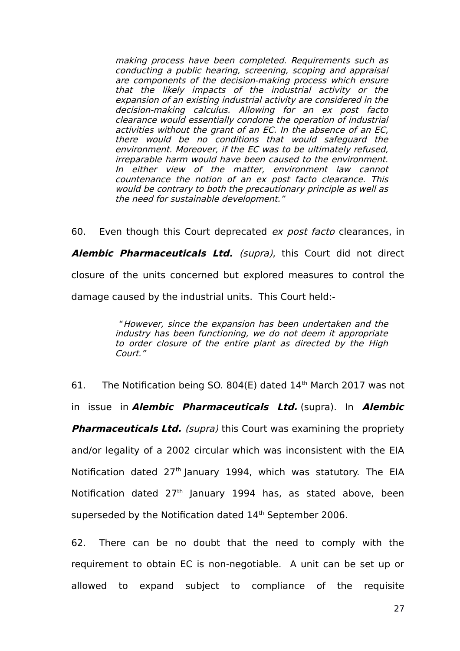making process have been completed. Requirements such as conducting a public hearing, screening, scoping and appraisal are components of the decision-making process which ensure that the likely impacts of the industrial activity or the expansion of an existing industrial activity are considered in the decision-making calculus. Allowing for an ex post facto clearance would essentially condone the operation of industrial activities without the grant of an EC. In the absence of an EC, there would be no conditions that would safeguard the environment. Moreover, if the EC was to be ultimately refused, irreparable harm would have been caused to the environment. In either view of the matter, environment law cannot countenance the notion of an ex post facto clearance. This would be contrary to both the precautionary principle as well as the need for sustainable development."

60. Even though this Court deprecated ex post facto clearances, in **Alembic Pharmaceuticals Ltd.** (supra), this Court did not direct closure of the units concerned but explored measures to control the damage caused by the industrial units. This Court held:-

> "However, since the expansion has been undertaken and the industry has been functioning, we do not deem it appropriate to order closure of the entire plant as directed by the High Court."

61. The Notification being SO. 804(E) dated 14th March 2017 was not in issue in **Alembic Pharmaceuticals Ltd.** (supra). In **Alembic Pharmaceuticals Ltd.** (supra) this Court was examining the propriety and/or legality of a 2002 circular which was inconsistent with the EIA Notification dated  $27<sup>th</sup>$  January 1994, which was statutory. The EIA Notification dated  $27<sup>th</sup>$  January 1994 has, as stated above, been superseded by the Notification dated 14<sup>th</sup> September 2006.

62. There can be no doubt that the need to comply with the requirement to obtain EC is non-negotiable. A unit can be set up or allowed to expand subject to compliance of the requisite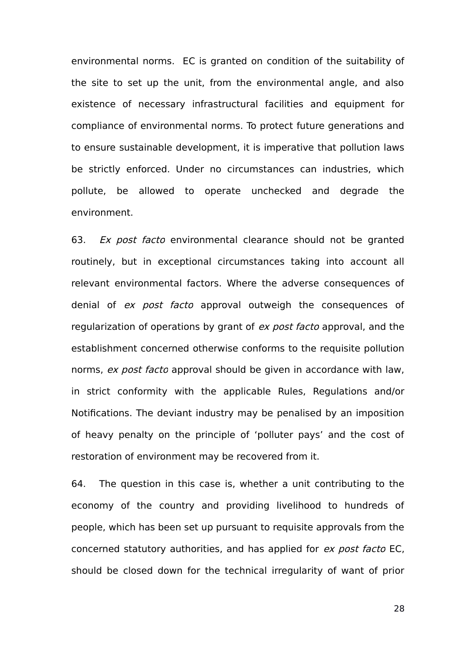environmental norms. EC is granted on condition of the suitability of the site to set up the unit, from the environmental angle, and also existence of necessary infrastructural facilities and equipment for compliance of environmental norms. To protect future generations and to ensure sustainable development, it is imperative that pollution laws be strictly enforced. Under no circumstances can industries, which pollute, be allowed to operate unchecked and degrade the environment.

63. Ex post facto environmental clearance should not be granted routinely, but in exceptional circumstances taking into account all relevant environmental factors. Where the adverse consequences of denial of ex post facto approval outweigh the consequences of regularization of operations by grant of ex post facto approval, and the establishment concerned otherwise conforms to the requisite pollution norms, ex post facto approval should be given in accordance with law, in strict conformity with the applicable Rules, Regulations and/or Notifications. The deviant industry may be penalised by an imposition of heavy penalty on the principle of 'polluter pays' and the cost of restoration of environment may be recovered from it.

64. The question in this case is, whether a unit contributing to the economy of the country and providing livelihood to hundreds of people, which has been set up pursuant to requisite approvals from the concerned statutory authorities, and has applied for ex post facto EC, should be closed down for the technical irregularity of want of prior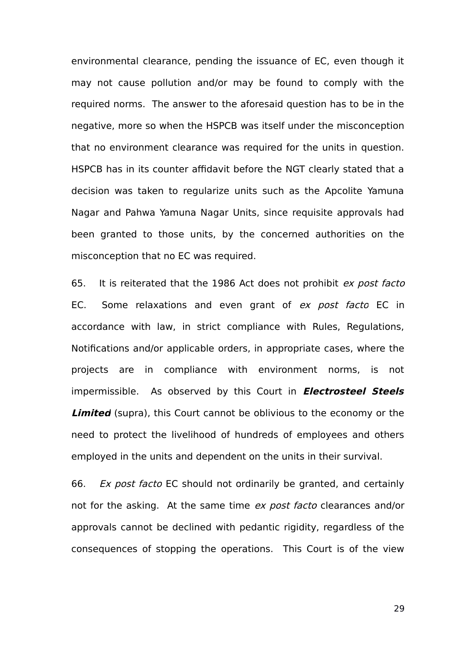environmental clearance, pending the issuance of EC, even though it may not cause pollution and/or may be found to comply with the required norms. The answer to the aforesaid question has to be in the negative, more so when the HSPCB was itself under the misconception that no environment clearance was required for the units in question. HSPCB has in its counter affidavit before the NGT clearly stated that a decision was taken to regularize units such as the Apcolite Yamuna Nagar and Pahwa Yamuna Nagar Units, since requisite approvals had been granted to those units, by the concerned authorities on the misconception that no EC was required.

65. It is reiterated that the 1986 Act does not prohibit ex post facto EC. Some relaxations and even grant of ex post facto EC in accordance with law, in strict compliance with Rules, Regulations, Notifications and/or applicable orders, in appropriate cases, where the projects are in compliance with environment norms, is not impermissible. As observed by this Court in **Electrosteel Steels Limited** (supra), this Court cannot be oblivious to the economy or the need to protect the livelihood of hundreds of employees and others employed in the units and dependent on the units in their survival.

66. Ex post facto EC should not ordinarily be granted, and certainly not for the asking. At the same time ex post facto clearances and/or approvals cannot be declined with pedantic rigidity, regardless of the consequences of stopping the operations. This Court is of the view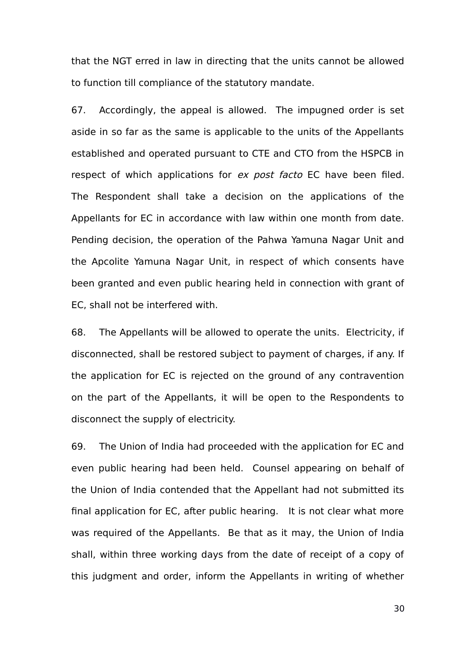that the NGT erred in law in directing that the units cannot be allowed to function till compliance of the statutory mandate.

67. Accordingly, the appeal is allowed. The impugned order is set aside in so far as the same is applicable to the units of the Appellants established and operated pursuant to CTE and CTO from the HSPCB in respect of which applications for ex post facto EC have been filed. The Respondent shall take a decision on the applications of the Appellants for EC in accordance with law within one month from date. Pending decision, the operation of the Pahwa Yamuna Nagar Unit and the Apcolite Yamuna Nagar Unit, in respect of which consents have been granted and even public hearing held in connection with grant of EC, shall not be interfered with.

68. The Appellants will be allowed to operate the units. Electricity, if disconnected, shall be restored subject to payment of charges, if any. If the application for EC is rejected on the ground of any contravention on the part of the Appellants, it will be open to the Respondents to disconnect the supply of electricity.

69. The Union of India had proceeded with the application for EC and even public hearing had been held. Counsel appearing on behalf of the Union of India contended that the Appellant had not submitted its final application for EC, after public hearing. It is not clear what more was required of the Appellants. Be that as it may, the Union of India shall, within three working days from the date of receipt of a copy of this judgment and order, inform the Appellants in writing of whether